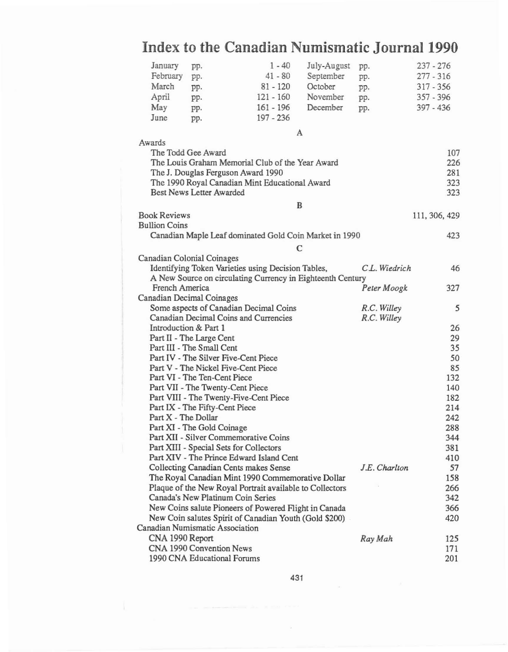## January pp. 1 - 40 July-August pp. 237 - 276<br>February pp. 41 - 80 September pp. 277 - 316 February pp. 41 - 80 September pp. 277 - 316<br>March pp. 81 - 120 October pp. 317 - 356 March pp. 81 - 120 October pp. 317-356 April pp. 121 - 160 November pp. 357 - 396 May pp. 161 - 196 December pp. 397 - 436 June pp. 197 -236 A Awards The Todd Gee Award The Louis Graham Memorial Club of the Year Award The J. Douglas Ferguson Award 1990 The 1990 Royal Canadian Mint Educational Award Best News Letter Awarded 107 226 281 323 323 B Book Reviews 111, 306, 429 Bullion Coins Canadian Maple Leaf dominated Gold Coin Market in 1990 423 C Canadian Colonial Coinages Identifying Token Varieties using Decision Tables, *CL. Wiedrich 46* A New Source on circulating Currency in Eighteenth Century French America *Peler Moogk* 327 Canadian Decimal Coinages Some aspects of Canadian Decimal Coins *R.C. Willey 5* Canadian Decimal Coins and Currencies *R.e. Willey* Introduction & Part 1 26<br>
Part II - The Large Cent Part II - The Large Cent Part III - The Small Cent 35 Part IV - The Silver Five-Cent Piece 50 Part V - The Nickel Five-Cent Piece 85 Part VI - The Ten-Cent Piece 132 Part VII - The Twenty-Cent Piece 140 Part VIII - The Twenty-Five-Cent Piece 182 Part IX - The Fifty-Cent Piece 214 Part X - The Dollar 242 Part XI - The Gold Coinage 288 Part Xli - Silver Commemorative Coins 344 Part XlII - Special Sets for Collectors 381 Part XIV - The Prince Edward Island Cent 410<br>Collecting Canadian Cents makes Sense *J.E. Charlton* 57 Collecting Canadian Cents makes Sense *f.E. Char/Ion 57* The Royal Canadian Mint 1990 Commemorative Dollar 158 Plaque of the New Royal Portrait available to Collectors 266 Canada's New Platinum Coin Series 342 New Coins salute Pioneers of Powered Right in Canada 366 New Coin salutes Spirit of Canadian Youth (Gold \$200) 420 Canadian Numismatic Association CNA 1990 Report *Ray Mah 125* CNA 1990 Convention News 171 1990 CNA Educational Forums 201

## **Index to the Canadian Numismatic** Journal 1990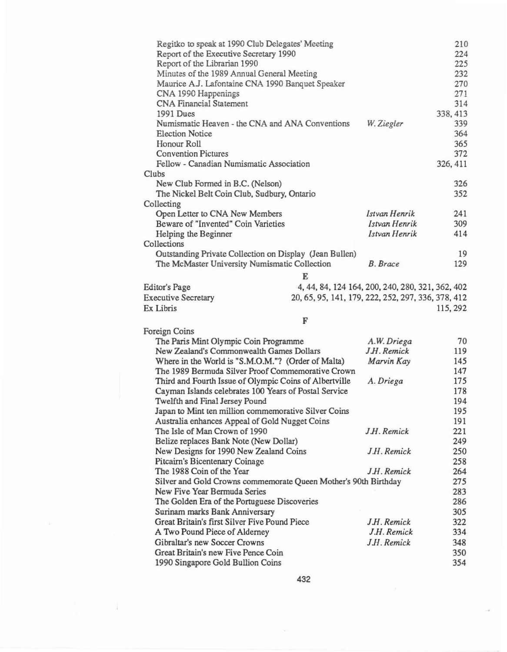| Regitko to speak at 1990 Club Delegates' Meeting<br>Report of the Executive Secretary 1990<br>Report of the Librarian 1990<br>Minutes of the 1989 Annual General Meeting<br>Maurice A.J. Lafontaine CNA 1990 Banquet Speaker<br>CNA 1990 Happenings<br><b>CNA Financial Statement</b><br>1991 Dues<br>Numismatic Heaven - the CNA and ANA Conventions<br><b>Election Notice</b><br>Honour Roll<br><b>Convention Pictures</b> |                                                    | W. Ziegler                     | 210<br>224<br>225<br>232<br>270<br>271<br>314<br>338, 413<br>339<br>364<br>365<br>372 |
|------------------------------------------------------------------------------------------------------------------------------------------------------------------------------------------------------------------------------------------------------------------------------------------------------------------------------------------------------------------------------------------------------------------------------|----------------------------------------------------|--------------------------------|---------------------------------------------------------------------------------------|
| Fellow - Canadian Numismatic Association                                                                                                                                                                                                                                                                                                                                                                                     |                                                    |                                | 326, 411                                                                              |
| Clubs                                                                                                                                                                                                                                                                                                                                                                                                                        |                                                    |                                |                                                                                       |
| New Club Formed in B.C. (Nelson)                                                                                                                                                                                                                                                                                                                                                                                             |                                                    |                                | 326                                                                                   |
| The Nickel Belt Coin Club, Sudbury, Ontario                                                                                                                                                                                                                                                                                                                                                                                  |                                                    |                                | 352                                                                                   |
| Collecting                                                                                                                                                                                                                                                                                                                                                                                                                   |                                                    |                                |                                                                                       |
| Open Letter to CNA New Members<br>Beware of "Invented" Coin Varieties                                                                                                                                                                                                                                                                                                                                                        |                                                    | Istvan Henrik<br>Istvan Henrik | 241<br>309                                                                            |
|                                                                                                                                                                                                                                                                                                                                                                                                                              |                                                    | Istvan Henrik                  | 414                                                                                   |
| Helping the Beginner<br>Collections                                                                                                                                                                                                                                                                                                                                                                                          |                                                    |                                |                                                                                       |
| Outstanding Private Collection on Display (Jean Bullen)                                                                                                                                                                                                                                                                                                                                                                      |                                                    |                                | 19                                                                                    |
| The McMaster University Numismatic Collection                                                                                                                                                                                                                                                                                                                                                                                |                                                    | <b>B.</b> Brace                | 129                                                                                   |
|                                                                                                                                                                                                                                                                                                                                                                                                                              |                                                    |                                |                                                                                       |
|                                                                                                                                                                                                                                                                                                                                                                                                                              | E                                                  |                                |                                                                                       |
| Editor's Page                                                                                                                                                                                                                                                                                                                                                                                                                | 4, 44, 84, 124 164, 200, 240, 280, 321, 362, 402   |                                |                                                                                       |
| <b>Executive Secretary</b>                                                                                                                                                                                                                                                                                                                                                                                                   | 20, 65, 95, 141, 179, 222, 252, 297, 336, 378, 412 |                                |                                                                                       |
| Ex Libris                                                                                                                                                                                                                                                                                                                                                                                                                    |                                                    |                                | 115, 292                                                                              |
|                                                                                                                                                                                                                                                                                                                                                                                                                              | F                                                  |                                |                                                                                       |
| Foreign Coins                                                                                                                                                                                                                                                                                                                                                                                                                |                                                    |                                |                                                                                       |
| The Paris Mint Olympic Coin Programme                                                                                                                                                                                                                                                                                                                                                                                        |                                                    | A.W. Driega                    | 70                                                                                    |
| New Zealand's Commonwealth Games Dollars                                                                                                                                                                                                                                                                                                                                                                                     |                                                    | J.H. Remick                    | 119                                                                                   |
| Marvin Kay<br>Where in the World is "S.M.O.M."? (Order of Malta)                                                                                                                                                                                                                                                                                                                                                             |                                                    |                                | 145<br>147                                                                            |
| The 1989 Bermuda Silver Proof Commemorative Crown                                                                                                                                                                                                                                                                                                                                                                            |                                                    |                                |                                                                                       |
| Third and Fourth Issue of Olympic Coins of Albertville<br>A. Driega                                                                                                                                                                                                                                                                                                                                                          |                                                    |                                | 175<br>178                                                                            |
| Cayman Islands celebrates 100 Years of Postal Service                                                                                                                                                                                                                                                                                                                                                                        |                                                    |                                |                                                                                       |
| Twelfth and Final Jersey Pound<br>Japan to Mint ten million commemorative Silver Coins                                                                                                                                                                                                                                                                                                                                       |                                                    |                                | 194<br>195                                                                            |
| Australia enhances Appeal of Gold Nugget Coins                                                                                                                                                                                                                                                                                                                                                                               |                                                    |                                | 191                                                                                   |
| The Isle of Man Crown of 1990                                                                                                                                                                                                                                                                                                                                                                                                |                                                    | J.H. Remick                    | 221                                                                                   |
| Belize replaces Bank Note (New Dollar)                                                                                                                                                                                                                                                                                                                                                                                       |                                                    |                                | 249                                                                                   |
| New Designs for 1990 New Zealand Coins                                                                                                                                                                                                                                                                                                                                                                                       |                                                    | J.H. Remick                    | 250                                                                                   |
| Pitcairn's Bicentenary Coinage                                                                                                                                                                                                                                                                                                                                                                                               |                                                    |                                | 258                                                                                   |
| The 1988 Coin of the Year                                                                                                                                                                                                                                                                                                                                                                                                    |                                                    | J.H. Remick                    | 264                                                                                   |
| Silver and Gold Crowns commemorate Queen Mother's 90th Birthday                                                                                                                                                                                                                                                                                                                                                              |                                                    |                                | 275                                                                                   |
| New Five Year Bermuda Series                                                                                                                                                                                                                                                                                                                                                                                                 |                                                    |                                | 283                                                                                   |
| The Golden Era of the Portuguese Discoveries                                                                                                                                                                                                                                                                                                                                                                                 |                                                    |                                | 286                                                                                   |
| Surinam marks Bank Anniversary                                                                                                                                                                                                                                                                                                                                                                                               |                                                    |                                | 305                                                                                   |
| Great Britain's first Silver Five Pound Piece                                                                                                                                                                                                                                                                                                                                                                                |                                                    | J.H. Remick                    | 322                                                                                   |
| A Two Pound Piece of Alderney                                                                                                                                                                                                                                                                                                                                                                                                |                                                    | J.H. Remick                    | 334                                                                                   |
| Gibraltar's new Soccer Crowns                                                                                                                                                                                                                                                                                                                                                                                                |                                                    | J.H. Remick                    | 348                                                                                   |
| Great Britain's new Five Pence Coin<br>1990 Singapore Gold Bullion Coins                                                                                                                                                                                                                                                                                                                                                     |                                                    |                                | 350<br>354                                                                            |

 $\overline{\psi}$ 

 $\tilde{\alpha}$ 

ĵ.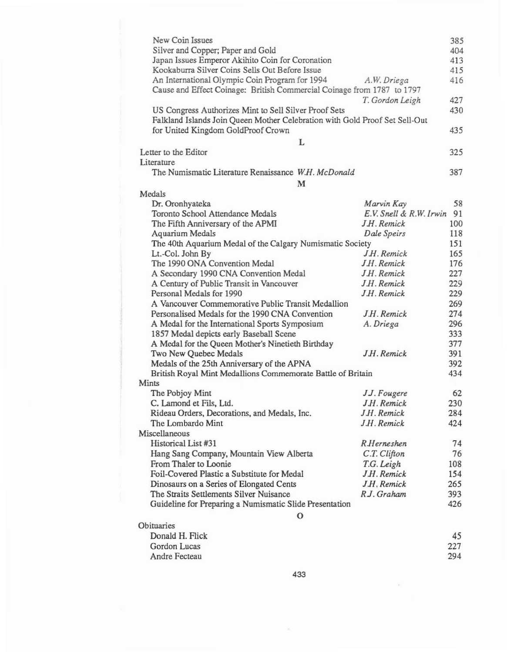| New Coin Issues                                                             |                            | 385        |  |
|-----------------------------------------------------------------------------|----------------------------|------------|--|
| Silver and Copper; Paper and Gold                                           |                            |            |  |
| Japan Issues Emperor Akihito Coin for Coronation                            |                            |            |  |
| Kookaburra Silver Coins Sells Out Before Issue                              |                            | 413<br>415 |  |
| An International Olympic Coin Program for 1994                              | A.W. Driega                | 416        |  |
| Cause and Effect Coinage: British Commercial Coinage from 1787 to 1797      |                            |            |  |
|                                                                             | T. Gordon Leigh            | 427        |  |
| US Congress Authorizes Mint to Sell Silver Proof Sets                       |                            | 430        |  |
| Falkland Islands Join Queen Mother Celebration with Gold Proof Set Sell-Out |                            |            |  |
| for United Kingdom GoldProof Crown                                          |                            | 435        |  |
| L                                                                           |                            |            |  |
| Letter to the Editor                                                        |                            | 325        |  |
| Literature                                                                  |                            |            |  |
| The Numismatic Literature Renaissance W.H. McDonald                         |                            | 387        |  |
| M                                                                           |                            |            |  |
| Medals                                                                      |                            |            |  |
| Dr. Oronhyateka                                                             | Marvin Kay                 | 58         |  |
| Toronto School Attendance Medals                                            | E.V. Snell & R.W. Irwin 91 |            |  |
| The Fifth Anniversary of the APMI                                           | J.H. Remick                | 100        |  |
| Aquarium Medals                                                             | Dale Speirs                | 118        |  |
| The 40th Aquarium Medal of the Calgary Numismatic Society                   |                            | 151        |  |
| Lt.-Col. John By                                                            | J.H. Remick                | 165        |  |
| The 1990 ONA Convention Medal                                               | J.H. Remick                | 176        |  |
| A Secondary 1990 CNA Convention Medal                                       | J.H. Remick                | 227        |  |
| A Century of Public Transit in Vancouver                                    | J.H. Remick                | 229        |  |
| Personal Medals for 1990                                                    | J.H. Remick                | 229        |  |
| A Vancouver Commemorative Public Transit Medallion                          |                            | 269        |  |
| Personalised Medals for the 1990 CNA Convention                             | J.H. Remick                | 274        |  |
| A Medal for the International Sports Symposium<br>A. Driega                 |                            | 296        |  |
| 1857 Medal depicts early Baseball Scene                                     |                            | 333        |  |
| A Medal for the Queen Mother's Ninetieth Birthday                           |                            | 377        |  |
| Two New Quebec Medals                                                       | J.H. Remick                | 391        |  |
| Medals of the 25th Anniversary of the APNA                                  |                            |            |  |
| British Royal Mint Medallions Commemorate Battle of Britain                 |                            | 434        |  |
| Mints                                                                       |                            |            |  |
| The Pobjoy Mint                                                             | J.J. Fougere               | 62         |  |
| C. Lamond et Fils, Ltd.                                                     | J.H. Remick                | 230        |  |
| Rideau Orders, Decorations, and Medals, Inc.                                | J.H. Remick                | 284        |  |
| The Lombardo Mint                                                           | J.H. Remick                | 424        |  |
| Miscellaneous                                                               |                            |            |  |
| Historical List #31                                                         | <b>R.Herneshen</b>         | 74         |  |
| Hang Sang Company, Mountain View Alberta                                    | C.T. Clifton               | 76         |  |
| From Thaler to Loonie                                                       | T.G. Leigh                 | 108        |  |
| Foil-Covered Plastic a Substitute for Medal                                 | J.H. Remick                | 154        |  |
| Dinosaurs on a Series of Elongated Cents                                    | J.H. Remick                | 265        |  |
| The Straits Settlements Silver Nuisance                                     | R.J. Graham                | 393        |  |
| Guideline for Preparing a Numismatic Slide Presentation                     |                            | 426        |  |
| $\mathbf{O}$                                                                |                            |            |  |
| Obituaries                                                                  |                            |            |  |
| Donald H. Flick                                                             |                            | 45         |  |
| Gordon Lucas                                                                |                            | 227        |  |
| Andre Fecteau                                                               |                            | 294        |  |

 $\tilde{\mathbf{x}}$